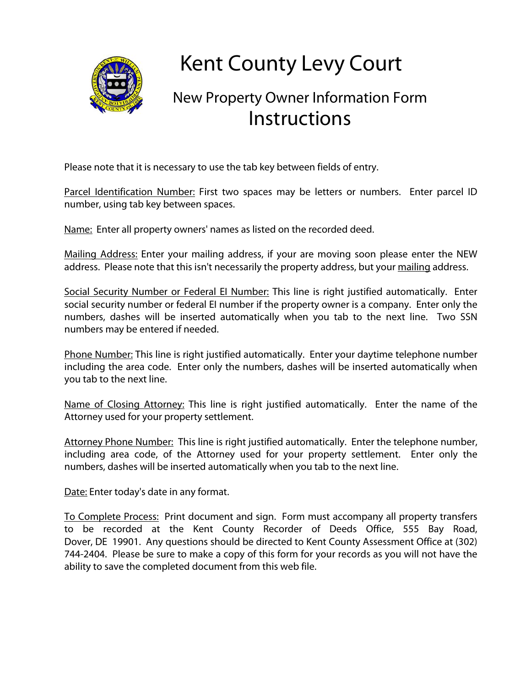

## **Kent County Levy Court**

## New Property Owner Information Form **Instructions**

Please note that it is necessary to use the tab key between fields of entry.

Parcel Identification Number: First two spaces may be letters or numbers. Enter parcel ID number, using tab key between spaces.

Name: Enter all property owners' names as listed on the recorded deed.

Mailing Address: Enter your mailing address, if your are moving soon please enter the NEW address. Please note that this isn't necessarily the property address, but your mailing address.

Social Security Number or Federal El Number: This line is right justified automatically. Enter social security number or federal EI number if the property owner is a company. Enter only the numbers, dashes will be inserted automatically when you tab to the next line. Two SSN numbers may be entered if needed.

Phone Number: This line is right justified automatically. Enter your daytime telephone number including the area code. Enter only the numbers, dashes will be inserted automatically when you tab to the next line.

Name of Closing Attorney: This line is right justified automatically. Enter the name of the Attorney used for your property settlement.

Attorney Phone Number: This line is right justified automatically. Enter the telephone number, including area code, of the Attorney used for your property settlement. Enter only the numbers, dashes will be inserted automatically when you tab to the next line.

Date: Enter today's date in any format.

To Complete Process: Print document and sign. Form must accompany all property transfers to be recorded at the Kent County Recorder of Deeds Office, 555 Bay Road, Dover, DE 19901. Any questions should be directed to Kent County Assessment Office at (302) 744-2404. Please be sure to make a copy of this form for your records as you will not have the ability to save the completed document from this web file.